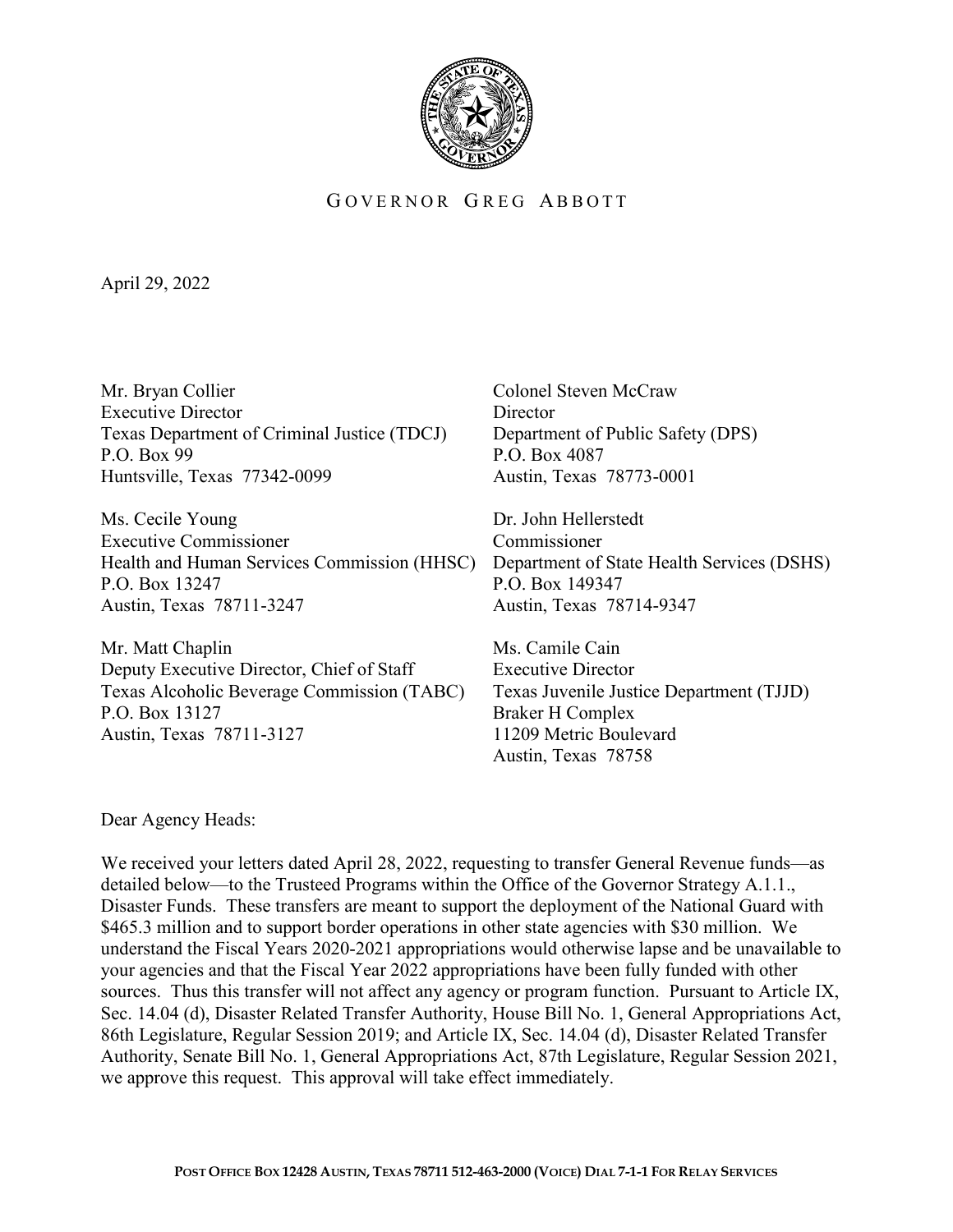

## GOVERNOR GREG ABBOTT

April 29, 2022

Mr. Bryan Collier Colonel Steven McCraw Executive Director Director Texas Department of Criminal Justice (TDCJ) Department of Public Safety (DPS) P.O. Box 99 P.O. Box 4087 Huntsville, Texas 77342-0099 Austin, Texas 78773-0001

Ms. Cecile Young **Dr.** John Hellerstedt Executive Commissioner Commissioner Health and Human Services Commission (HHSC) Department of State Health Services (DSHS) P.O. Box 13247 P.O. Box 149347 Austin, Texas 78711-3247 Austin, Texas 78714-9347

Mr. Matt Chaplin Ms. Camile Cain Deputy Executive Director, Chief of Staff Executive Director Texas Alcoholic Beverage Commission (TABC) Texas Juvenile Justice Department (TJJD) P.O. Box 13127 Braker H Complex Austin, Texas 78711-3127 11209 Metric Boulevard

Austin, Texas 78758

Dear Agency Heads:

We received your letters dated April 28, 2022, requesting to transfer General Revenue funds—as detailed below—to the Trusteed Programs within the Office of the Governor Strategy A.1.1., Disaster Funds. These transfers are meant to support the deployment of the National Guard with \$465.3 million and to support border operations in other state agencies with \$30 million. We understand the Fiscal Years 2020-2021 appropriations would otherwise lapse and be unavailable to your agencies and that the Fiscal Year 2022 appropriations have been fully funded with other sources. Thus this transfer will not affect any agency or program function. Pursuant to Article IX, Sec. 14.04 (d), Disaster Related Transfer Authority, House Bill No. 1, General Appropriations Act, 86th Legislature, Regular Session 2019; and Article IX, Sec. 14.04 (d), Disaster Related Transfer Authority, Senate Bill No. 1, General Appropriations Act, 87th Legislature, Regular Session 2021, we approve this request. This approval will take effect immediately.